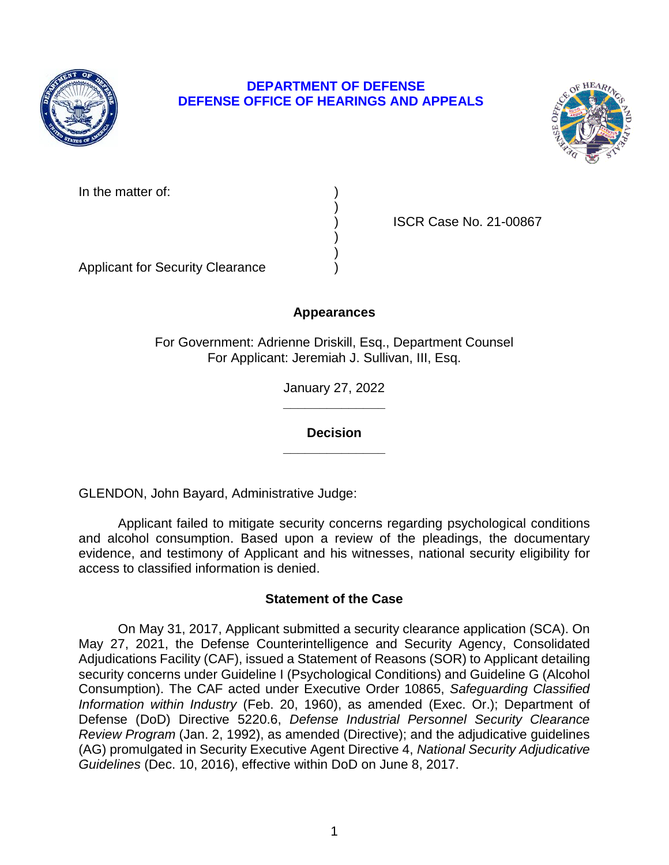

# **DEPARTMENT OF DEFENSE DEFENSE OFFICE OF HEARINGS AND APPEALS**



In the matter of:

) ISCR Case No. 21-00867

Applicant for Security Clearance )

# **Appearances**

)

) )

For Government: Adrienne Driskill, Esq., Department Counsel For Applicant: Jeremiah J. Sullivan, III, Esq.

> **\_\_\_\_\_\_\_\_\_\_\_\_\_\_**  January 27, 2022

**\_\_\_\_\_\_\_\_\_\_\_\_\_\_ Decision** 

GLENDON, John Bayard, Administrative Judge:

 Applicant failed to mitigate security concerns regarding psychological conditions and alcohol consumption. Based upon a review of the pleadings, the documentary evidence, and testimony of Applicant and his witnesses, national security eligibility for access to classified information is denied.

# **Statement of the Case**

 On May 31, 2017, Applicant submitted a security clearance application (SCA). On May 27, 2021, the Defense Counterintelligence and Security Agency, Consolidated Adjudications Facility (CAF), issued a Statement of Reasons (SOR) to Applicant detailing security concerns under Guideline I (Psychological Conditions) and Guideline G (Alcohol Consumption). The CAF acted under Executive Order 10865, *Safeguarding Classified Information within Industry* (Feb. 20, 1960), as amended (Exec. Or.); Department of Defense (DoD) Directive 5220.6, *Defense Industrial Personnel Security Clearance*  (AG) promulgated in Security Executive Agent Directive 4, *National Security Adjudicative Review Program* (Jan. 2, 1992), as amended (Directive); and the adjudicative guidelines *Guidelines* (Dec. 10, 2016), effective within DoD on June 8, 2017.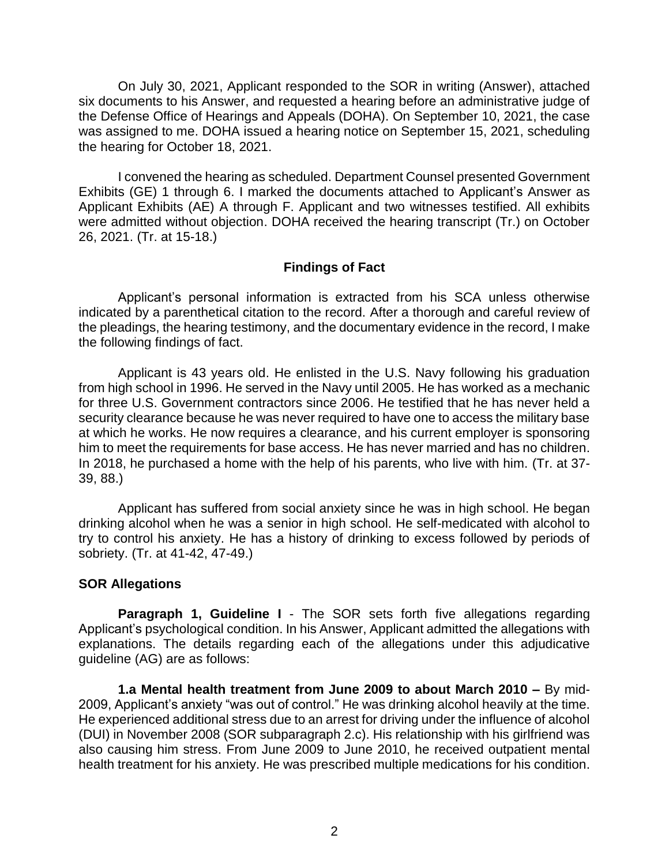six documents to his Answer, and requested a hearing before an administrative judge of the Defense Office of Hearings and Appeals (DOHA). On September 10, 2021, the case was assigned to me. DOHA issued a hearing notice on September 15, 2021, scheduling the hearing for October 18, 2021. On July 30, 2021, Applicant responded to the SOR in writing (Answer), attached

 I convened the hearing as scheduled. Department Counsel presented Government Exhibits (GE) 1 through 6. I marked the documents attached to Applicant's Answer as Applicant Exhibits (AE) A through F. Applicant and two witnesses testified. All exhibits were admitted without objection. DOHA received the hearing transcript (Tr.) on October 26, 2021. (Tr. at 15-18.)

## **Findings of Fact**

 Applicant's personal information is extracted from his SCA unless otherwise indicated by a parenthetical citation to the record. After a thorough and careful review of the pleadings, the hearing testimony, and the documentary evidence in the record, I make the following findings of fact.

Applicant is 43 years old. He enlisted in the U.S. Navy following his graduation from high school in 1996. He served in the Navy until 2005. He has worked as a mechanic for three U.S. Government contractors since 2006. He testified that he has never held a security clearance because he was never required to have one to access the military base at which he works. He now requires a clearance, and his current employer is sponsoring him to meet the requirements for base access. He has never married and has no children. In 2018, he purchased a home with the help of his parents, who live with him. (Tr. at 37- 39, 88.)

 Applicant has suffered from social anxiety since he was in high school. He began drinking alcohol when he was a senior in high school. He self-medicated with alcohol to try to control his anxiety. He has a history of drinking to excess followed by periods of sobriety. (Tr. at 41-42, 47-49.)

### **SOR Allegations**

 Applicant's psychological condition. In his Answer, Applicant admitted the allegations with explanations. The details regarding each of the allegations under this adjudicative **Paragraph 1, Guideline I** - The SOR sets forth five allegations regarding guideline (AG) are as follows:

**1.a Mental health treatment from June 2009 to about March 2010 –** By mid-2009, Applicant's anxiety "was out of control." He was drinking alcohol heavily at the time. He experienced additional stress due to an arrest for driving under the influence of alcohol (DUI) in November 2008 (SOR subparagraph 2.c). His relationship with his girlfriend was also causing him stress. From June 2009 to June 2010, he received outpatient mental health treatment for his anxiety. He was prescribed multiple medications for his condition.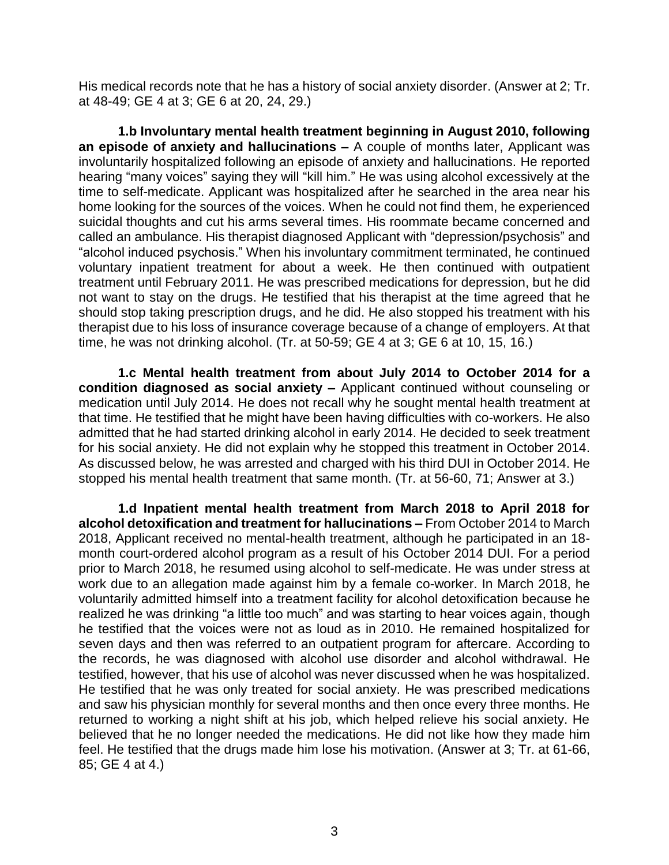His medical records note that he has a history of social anxiety disorder. (Answer at 2; Tr. at 48-49; GE 4 at 3; GE 6 at 20, 24, 29.)

 involuntarily hospitalized following an episode of anxiety and hallucinations. He reported time to self-medicate. Applicant was hospitalized after he searched in the area near his home looking for the sources of the voices. When he could not find them, he experienced called an ambulance. His therapist diagnosed Applicant with "depression/psychosis" and "alcohol induced psychosis." When his involuntary commitment terminated, he continued voluntary inpatient treatment for about a week. He then continued with outpatient treatment until February 2011. He was prescribed medications for depression, but he did not want to stay on the drugs. He testified that his therapist at the time agreed that he therapist due to his loss of insurance coverage because of a change of employers. At that **1.b Involuntary mental health treatment beginning in August 2010, following an episode of anxiety and hallucinations –** A couple of months later, Applicant was hearing "many voices" saying they will "kill him." He was using alcohol excessively at the suicidal thoughts and cut his arms several times. His roommate became concerned and should stop taking prescription drugs, and he did. He also stopped his treatment with his time, he was not drinking alcohol. (Tr. at 50-59; GE 4 at 3; GE 6 at 10, 15, 16.)

 **condition diagnosed as social anxiety –** Applicant continued without counseling or medication until July 2014. He does not recall why he sought mental health treatment at that time. He testified that he might have been having difficulties with co-workers. He also admitted that he had started drinking alcohol in early 2014. He decided to seek treatment for his social anxiety. He did not explain why he stopped this treatment in October 2014. As discussed below, he was arrested and charged with his third DUI in October 2014. He **1.c Mental health treatment from about July 2014 to October 2014 for a**  stopped his mental health treatment that same month. (Tr. at 56-60, 71; Answer at 3.)

**1.d Inpatient mental health treatment from March 2018 to April 2018 for alcohol detoxification and treatment for hallucinations –** From October 2014 to March 2018, Applicant received no mental-health treatment, although he participated in an 18 month court-ordered alcohol program as a result of his October 2014 DUI. For a period prior to March 2018, he resumed using alcohol to self-medicate. He was under stress at work due to an allegation made against him by a female co-worker. In March 2018, he voluntarily admitted himself into a treatment facility for alcohol detoxification because he realized he was drinking "a little too much" and was starting to hear voices again, though he testified that the voices were not as loud as in 2010. He remained hospitalized for seven days and then was referred to an outpatient program for aftercare. According to the records, he was diagnosed with alcohol use disorder and alcohol withdrawal. He testified, however, that his use of alcohol was never discussed when he was hospitalized. He testified that he was only treated for social anxiety. He was prescribed medications and saw his physician monthly for several months and then once every three months. He returned to working a night shift at his job, which helped relieve his social anxiety. He believed that he no longer needed the medications. He did not like how they made him feel. He testified that the drugs made him lose his motivation. (Answer at 3; Tr. at 61-66, 85; GE 4 at 4.)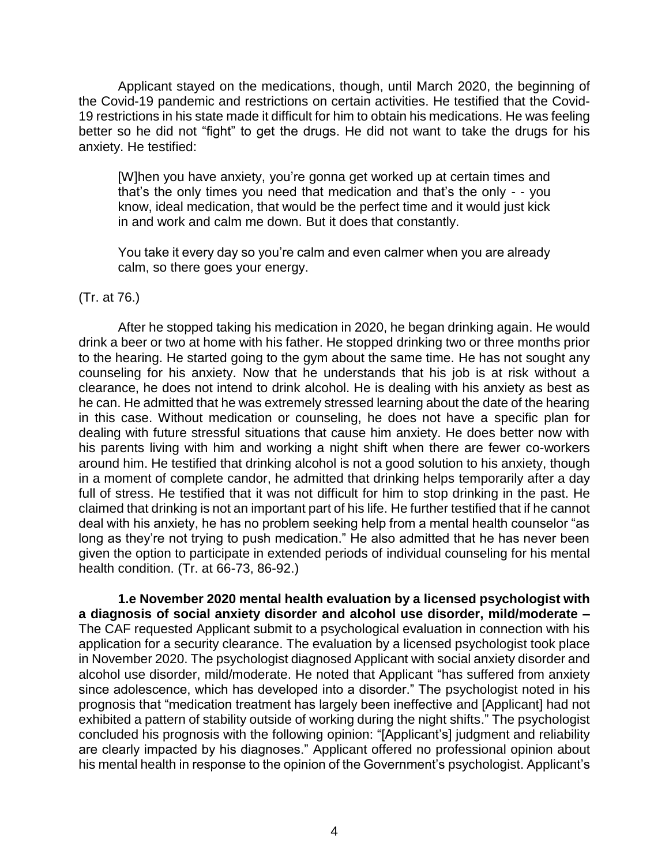Applicant stayed on the medications, though, until March 2020, the beginning of the Covid-19 pandemic and restrictions on certain activities. He testified that the Covid-19 restrictions in his state made it difficult for him to obtain his medications. He was feeling better so he did not "fight" to get the drugs. He did not want to take the drugs for his anxiety. He testified:

[W]hen you have anxiety, you're gonna get worked up at certain times and that's the only times you need that medication and that's the only - - you know, ideal medication, that would be the perfect time and it would just kick in and work and calm me down. But it does that constantly.

You take it every day so you're calm and even calmer when you are already calm, so there goes your energy.

### (Tr. at 76.)

 After he stopped taking his medication in 2020, he began drinking again. He would drink a beer or two at home with his father. He stopped drinking two or three months prior to the hearing. He started going to the gym about the same time. He has not sought any counseling for his anxiety. Now that he understands that his job is at risk without a clearance, he does not intend to drink alcohol. He is dealing with his anxiety as best as he can. He admitted that he was extremely stressed learning about the date of the hearing in this case. Without medication or counseling, he does not have a specific plan for dealing with future stressful situations that cause him anxiety. He does better now with his parents living with him and working a night shift when there are fewer co-workers around him. He testified that drinking alcohol is not a good solution to his anxiety, though in a moment of complete candor, he admitted that drinking helps temporarily after a day full of stress. He testified that it was not difficult for him to stop drinking in the past. He claimed that drinking is not an important part of his life. He further testified that if he cannot deal with his anxiety, he has no problem seeking help from a mental health counselor "as long as they're not trying to push medication." He also admitted that he has never been given the option to participate in extended periods of individual counseling for his mental health condition. (Tr. at 66-73, 86-92.)

**1.e November 2020 mental health evaluation by a licensed psychologist with a diagnosis of social anxiety disorder and alcohol use disorder, mild/moderate –** The CAF requested Applicant submit to a psychological evaluation in connection with his application for a security clearance. The evaluation by a licensed psychologist took place in November 2020. The psychologist diagnosed Applicant with social anxiety disorder and alcohol use disorder, mild/moderate. He noted that Applicant "has suffered from anxiety since adolescence, which has developed into a disorder." The psychologist noted in his prognosis that "medication treatment has largely been ineffective and [Applicant] had not exhibited a pattern of stability outside of working during the night shifts." The psychologist concluded his prognosis with the following opinion: "[Applicant's] judgment and reliability are clearly impacted by his diagnoses." Applicant offered no professional opinion about his mental health in response to the opinion of the Government's psychologist. Applicant's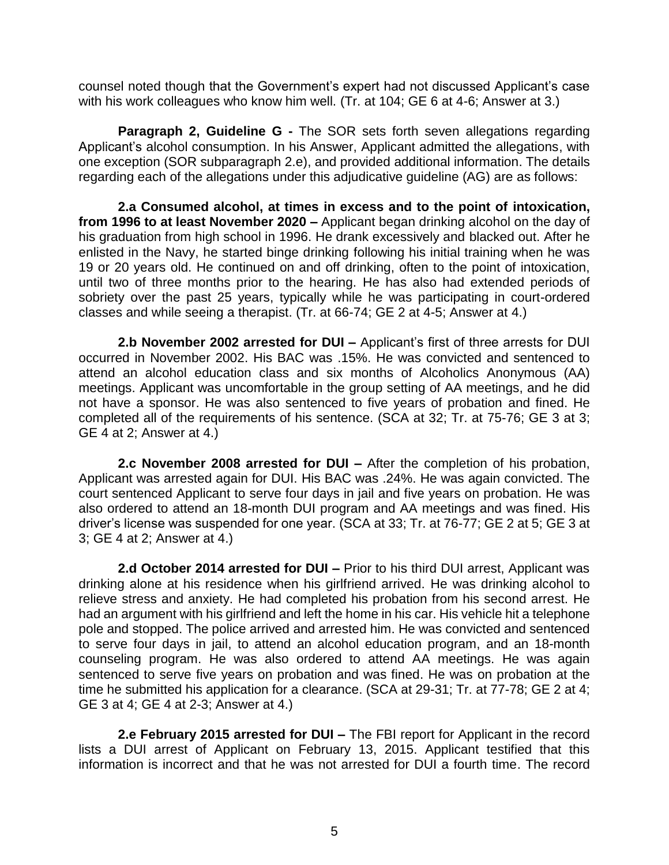counsel noted though that the Government's expert had not discussed Applicant's case with his work colleagues who know him well. (Tr. at 104; GE 6 at 4-6; Answer at 3.)

 Applicant's alcohol consumption. In his Answer, Applicant admitted the allegations, with **Paragraph 2, Guideline G -** The SOR sets forth seven allegations regarding one exception (SOR subparagraph 2.e), and provided additional information. The details regarding each of the allegations under this adjudicative guideline (AG) are as follows:

 **from 1996 to at least November 2020 –** Applicant began drinking alcohol on the day of his graduation from high school in 1996. He drank excessively and blacked out. After he enlisted in the Navy, he started binge drinking following his initial training when he was 19 or 20 years old. He continued on and off drinking, often to the point of intoxication, until two of three months prior to the hearing. He has also had extended periods of sobriety over the past 25 years, typically while he was participating in court-ordered **2.a Consumed alcohol, at times in excess and to the point of intoxication,** classes and while seeing a therapist. (Tr. at 66-74; GE 2 at 4-5; Answer at 4.)

 occurred in November 2002. His BAC was .15%. He was convicted and sentenced to attend an alcohol education class and six months of Alcoholics Anonymous (AA) meetings. Applicant was uncomfortable in the group setting of AA meetings, and he did not have a sponsor. He was also sentenced to five years of probation and fined. He completed all of the requirements of his sentence. (SCA at 32; Tr. at 75-76; GE 3 at 3; **2.b November 2002 arrested for DUI –** Applicant's first of three arrests for DUI GE 4 at 2; Answer at 4.)

 **2.c November 2008 arrested for DUI –** After the completion of his probation, Applicant was arrested again for DUI. His BAC was .24%. He was again convicted. The court sentenced Applicant to serve four days in jail and five years on probation. He was also ordered to attend an 18-month DUI program and AA meetings and was fined. His driver's license was suspended for one year. (SCA at 33; Tr. at 76-77; GE 2 at 5; GE 3 at 3; GE 4 at 2; Answer at 4.)

 **2.d October 2014 arrested for DUI –** Prior to his third DUI arrest, Applicant was drinking alone at his residence when his girlfriend arrived. He was drinking alcohol to relieve stress and anxiety. He had completed his probation from his second arrest. He had an argument with his girlfriend and left the home in his car. His vehicle hit a telephone pole and stopped. The police arrived and arrested him. He was convicted and sentenced to serve four days in jail, to attend an alcohol education program, and an 18-month counseling program. He was also ordered to attend AA meetings. He was again sentenced to serve five years on probation and was fined. He was on probation at the time he submitted his application for a clearance. (SCA at 29-31; Tr. at 77-78; GE 2 at 4; GE 3 at 4; GE 4 at 2-3; Answer at 4.)

 **2.e February 2015 arrested for DUI –** The FBI report for Applicant in the record information is incorrect and that he was not arrested for DUI a fourth time. The record lists a DUI arrest of Applicant on February 13, 2015. Applicant testified that this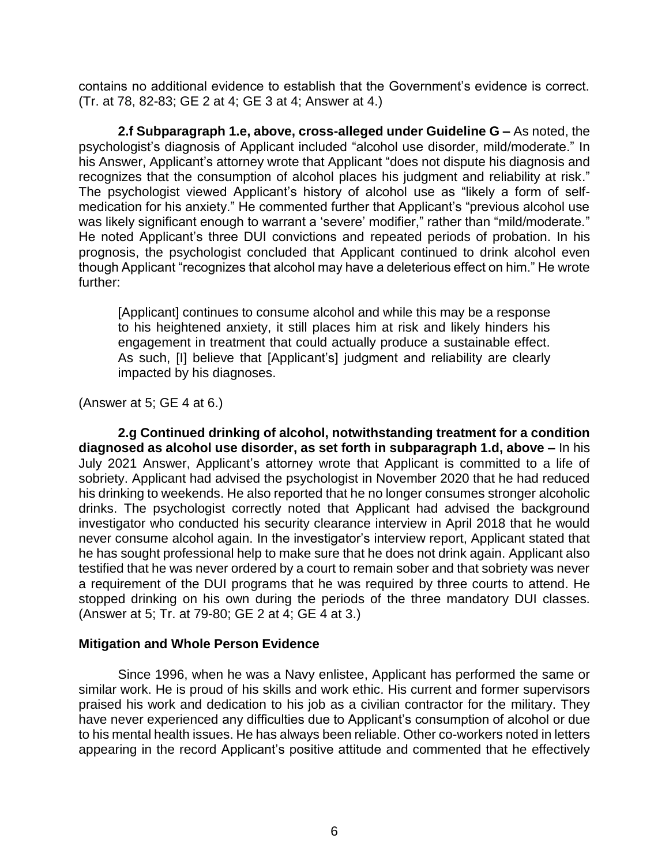contains no additional evidence to establish that the Government's evidence is correct. (Tr. at 78, 82-83; GE 2 at 4; GE 3 at 4; Answer at 4.)

 psychologist's diagnosis of Applicant included "alcohol use disorder, mild/moderate." In his Answer, Applicant's attorney wrote that Applicant "does not dispute his diagnosis and recognizes that the consumption of alcohol places his judgment and reliability at risk." The psychologist viewed Applicant's history of alcohol use as "likely a form of self- He noted Applicant's three DUI convictions and repeated periods of probation. In his though Applicant "recognizes that alcohol may have a deleterious effect on him." He wrote **2.f Subparagraph 1.e, above, cross-alleged under Guideline G –** As noted, the medication for his anxiety." He commented further that Applicant's "previous alcohol use was likely significant enough to warrant a 'severe' modifier," rather than "mild/moderate." prognosis, the psychologist concluded that Applicant continued to drink alcohol even further:

 [Applicant] continues to consume alcohol and while this may be a response to his heightened anxiety, it still places him at risk and likely hinders his engagement in treatment that could actually produce a sustainable effect. As such, [I] believe that [Applicant's] judgment and reliability are clearly impacted by his diagnoses.

(Answer at 5; GE 4 at 6.)

 **diagnosed as alcohol use disorder, as set forth in subparagraph 1.d, above –** In his July 2021 Answer, Applicant's attorney wrote that Applicant is committed to a life of sobriety. Applicant had advised the psychologist in November 2020 that he had reduced his drinking to weekends. He also reported that he no longer consumes stronger alcoholic drinks. The psychologist correctly noted that Applicant had advised the background investigator who conducted his security clearance interview in April 2018 that he would never consume alcohol again. In the investigator's interview report, Applicant stated that he has sought professional help to make sure that he does not drink again. Applicant also testified that he was never ordered by a court to remain sober and that sobriety was never a requirement of the DUI programs that he was required by three courts to attend. He stopped drinking on his own during the periods of the three mandatory DUI classes. **2.g Continued drinking of alcohol, notwithstanding treatment for a condition**  (Answer at 5; Tr. at 79-80; GE 2 at 4; GE 4 at 3.)

## **Mitigation and Whole Person Evidence**

 Since 1996, when he was a Navy enlistee, Applicant has performed the same or praised his work and dedication to his job as a civilian contractor for the military. They have never experienced any difficulties due to Applicant's consumption of alcohol or due to his mental health issues. He has always been reliable. Other co-workers noted in letters appearing in the record Applicant's positive attitude and commented that he effectively similar work. He is proud of his skills and work ethic. His current and former supervisors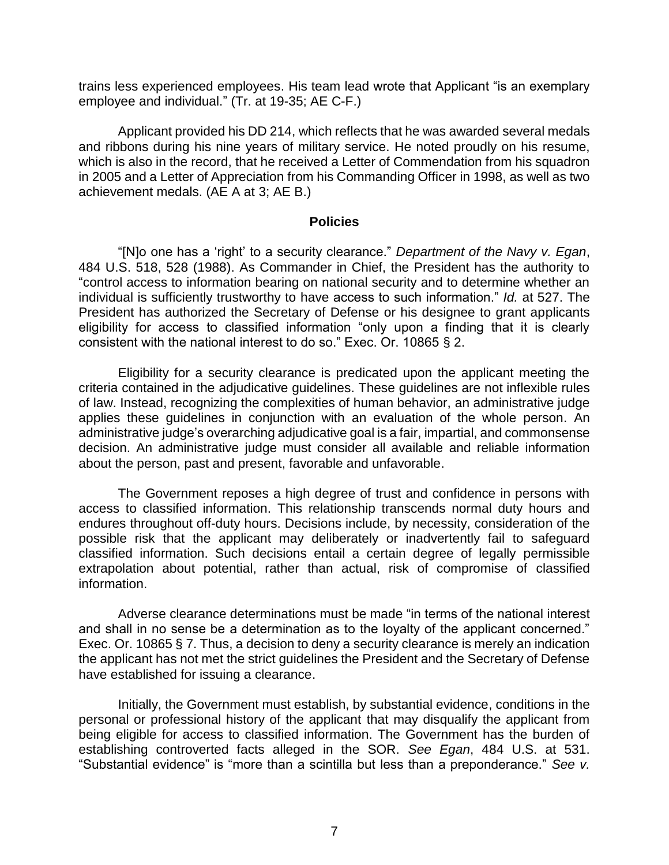trains less experienced employees. His team lead wrote that Applicant "is an exemplary employee and individual." (Tr. at 19-35; AE C-F.)

 Applicant provided his DD 214, which reflects that he was awarded several medals and ribbons during his nine years of military service. He noted proudly on his resume, which is also in the record, that he received a Letter of Commendation from his squadron in 2005 and a Letter of Appreciation from his Commanding Officer in 1998, as well as two achievement medals. (AE A at 3; AE B.)

#### **Policies**

 "[N]o one has a 'right' to a security clearance." *Department of the Navy v. Egan*, 484 U.S. 518, 528 (1988). As Commander in Chief, the President has the authority to "control access to information bearing on national security and to determine whether an individual is sufficiently trustworthy to have access to such information." *Id.* at 527. The President has authorized the Secretary of Defense or his designee to grant applicants eligibility for access to classified information "only upon a finding that it is clearly consistent with the national interest to do so." Exec. Or. 10865 § 2.

 Eligibility for a security clearance is predicated upon the applicant meeting the criteria contained in the adjudicative guidelines. These guidelines are not inflexible rules applies these guidelines in conjunction with an evaluation of the whole person. An administrative judge's overarching adjudicative goal is a fair, impartial, and commonsense about the person, past and present, favorable and unfavorable. of law. Instead, recognizing the complexities of human behavior, an administrative judge decision. An administrative judge must consider all available and reliable information

 The Government reposes a high degree of trust and confidence in persons with access to classified information. This relationship transcends normal duty hours and endures throughout off-duty hours. Decisions include, by necessity, consideration of the possible risk that the applicant may deliberately or inadvertently fail to safeguard classified information. Such decisions entail a certain degree of legally permissible extrapolation about potential, rather than actual, risk of compromise of classified information.

 Adverse clearance determinations must be made "in terms of the national interest and shall in no sense be a determination as to the loyalty of the applicant concerned." Exec. Or. 10865 § 7. Thus, a decision to deny a security clearance is merely an indication the applicant has not met the strict guidelines the President and the Secretary of Defense have established for issuing a clearance.

 Initially, the Government must establish, by substantial evidence, conditions in the personal or professional history of the applicant that may disqualify the applicant from being eligible for access to classified information. The Government has the burden of establishing controverted facts alleged in the SOR. *See Egan*, 484 U.S. at 531. "Substantial evidence" is "more than a scintilla but less than a preponderance." *See v.*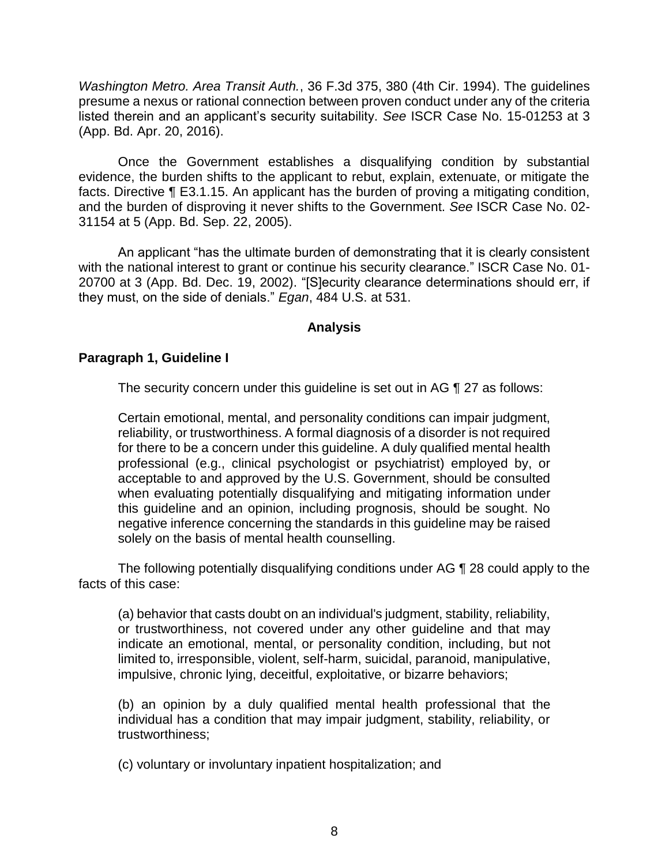*Washington Metro. Area Transit Auth.*, 36 F.3d 375, 380 (4th Cir. 1994). The guidelines presume a nexus or rational connection between proven conduct under any of the criteria listed therein and an applicant's security suitability. *See* ISCR Case No. 15-01253 at 3 (App. Bd. Apr. 20, 2016).

Once the Government establishes a disqualifying condition by substantial evidence, the burden shifts to the applicant to rebut, explain, extenuate, or mitigate the facts. Directive ¶ E3.1.15. An applicant has the burden of proving a mitigating condition, and the burden of disproving it never shifts to the Government. *See* ISCR Case No. 02- 31154 at 5 (App. Bd. Sep. 22, 2005).

An applicant "has the ultimate burden of demonstrating that it is clearly consistent with the national interest to grant or continue his security clearance." ISCR Case No. 01- 20700 at 3 (App. Bd. Dec. 19, 2002). "[S]ecurity clearance determinations should err, if they must, on the side of denials." *Egan*, 484 U.S. at 531.

## **Analysis**

## **Paragraph 1, Guideline I**

The security concern under this guideline is set out in AG ¶ 27 as follows:

Certain emotional, mental, and personality conditions can impair judgment, reliability, or trustworthiness. A formal diagnosis of a disorder is not required for there to be a concern under this guideline. A duly qualified mental health professional (e.g., clinical psychologist or psychiatrist) employed by, or acceptable to and approved by the U.S. Government, should be consulted when evaluating potentially disqualifying and mitigating information under this guideline and an opinion, including prognosis, should be sought. No negative inference concerning the standards in this guideline may be raised solely on the basis of mental health counselling.

 The following potentially disqualifying conditions under AG ¶ 28 could apply to the facts of this case:

(a) behavior that casts doubt on an individual's judgment, stability, reliability, or trustworthiness, not covered under any other guideline and that may indicate an emotional, mental, or personality condition, including, but not limited to, irresponsible, violent, self-harm, suicidal, paranoid, manipulative, impulsive, chronic lying, deceitful, exploitative, or bizarre behaviors;

(b) an opinion by a duly qualified mental health professional that the individual has a condition that may impair judgment, stability, reliability, or trustworthiness;

(c) voluntary or involuntary inpatient hospitalization; and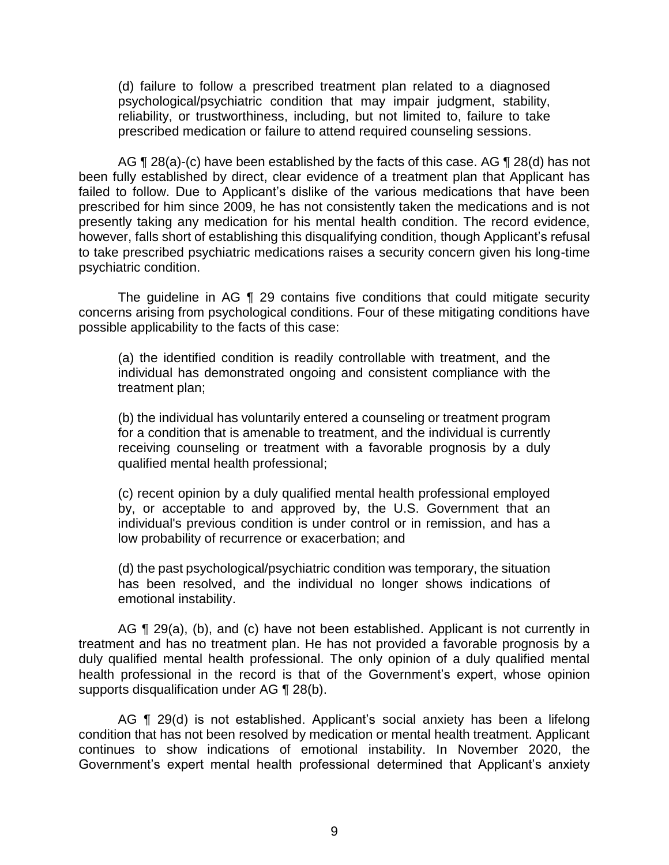(d) failure to follow a prescribed treatment plan related to a diagnosed psychological/psychiatric condition that may impair judgment, stability, reliability, or trustworthiness, including, but not limited to, failure to take prescribed medication or failure to attend required counseling sessions.

AG ¶ 28(a)-(c) have been established by the facts of this case. AG ¶ 28(d) has not been fully established by direct, clear evidence of a treatment plan that Applicant has failed to follow. Due to Applicant's dislike of the various medications that have been prescribed for him since 2009, he has not consistently taken the medications and is not presently taking any medication for his mental health condition. The record evidence, to take prescribed psychiatric medications raises a security concern given his long-time however, falls short of establishing this disqualifying condition, though Applicant's refusal psychiatric condition.

 The guideline in AG ¶ 29 contains five conditions that could mitigate security concerns arising from psychological conditions. Four of these mitigating conditions have possible applicability to the facts of this case:

 (a) the identified condition is readily controllable with treatment, and the individual has demonstrated ongoing and consistent compliance with the treatment plan;

 (b) the individual has voluntarily entered a counseling or treatment program receiving counseling or treatment with a favorable prognosis by a duly for a condition that is amenable to treatment, and the individual is currently qualified mental health professional;

 (c) recent opinion by a duly qualified mental health professional employed by, or acceptable to and approved by, the U.S. Government that an individual's previous condition is under control or in remission, and has a low probability of recurrence or exacerbation; and

 (d) the past psychological/psychiatric condition was temporary, the situation has been resolved, and the individual no longer shows indications of emotional instability.

AG ¶ 29(a), (b), and (c) have not been established. Applicant is not currently in treatment and has no treatment plan. He has not provided a favorable prognosis by a duly qualified mental health professional. The only opinion of a duly qualified mental health professional in the record is that of the Government's expert, whose opinion supports disqualification under AG ¶ 28(b).

AG ¶ 29(d) is not established. Applicant's social anxiety has been a lifelong condition that has not been resolved by medication or mental health treatment. Applicant continues to show indications of emotional instability. In November 2020, the Government's expert mental health professional determined that Applicant's anxiety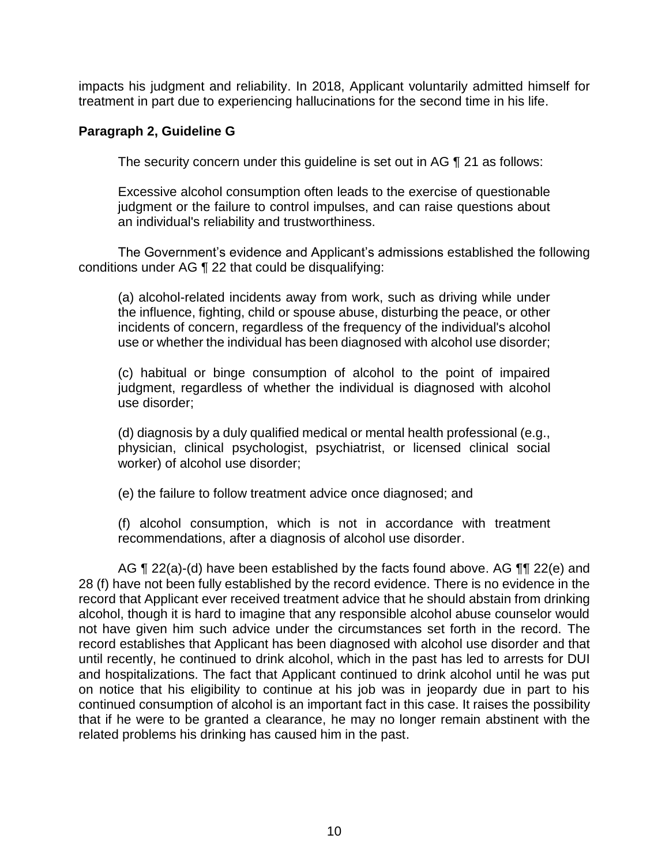impacts his judgment and reliability. In 2018, Applicant voluntarily admitted himself for treatment in part due to experiencing hallucinations for the second time in his life.

## **Paragraph 2, Guideline G**

The security concern under this guideline is set out in AG ¶ 21 as follows:

 Excessive alcohol consumption often leads to the exercise of questionable judgment or the failure to control impulses, and can raise questions about an individual's reliability and trustworthiness.

The Government's evidence and Applicant's admissions established the following conditions under AG ¶ 22 that could be disqualifying:

 (a) alcohol-related incidents away from work, such as driving while under the influence, fighting, child or spouse abuse, disturbing the peace, or other incidents of concern, regardless of the frequency of the individual's alcohol use or whether the individual has been diagnosed with alcohol use disorder;

 (c) habitual or binge consumption of alcohol to the point of impaired judgment, regardless of whether the individual is diagnosed with alcohol use disorder;

 (d) diagnosis by a duly qualified medical or mental health professional (e.g., physician, clinical psychologist, psychiatrist, or licensed clinical social worker) of alcohol use disorder;

(e) the failure to follow treatment advice once diagnosed; and

 (f) alcohol consumption, which is not in accordance with treatment recommendations, after a diagnosis of alcohol use disorder.

AG  $\P$  22(a)-(d) have been established by the facts found above. AG  $\P$  $\P$  22(e) and 28 (f) have not been fully established by the record evidence. There is no evidence in the record that Applicant ever received treatment advice that he should abstain from drinking alcohol, though it is hard to imagine that any responsible alcohol abuse counselor would not have given him such advice under the circumstances set forth in the record. The record establishes that Applicant has been diagnosed with alcohol use disorder and that until recently, he continued to drink alcohol, which in the past has led to arrests for DUI and hospitalizations. The fact that Applicant continued to drink alcohol until he was put on notice that his eligibility to continue at his job was in jeopardy due in part to his continued consumption of alcohol is an important fact in this case. It raises the possibility that if he were to be granted a clearance, he may no longer remain abstinent with the related problems his drinking has caused him in the past.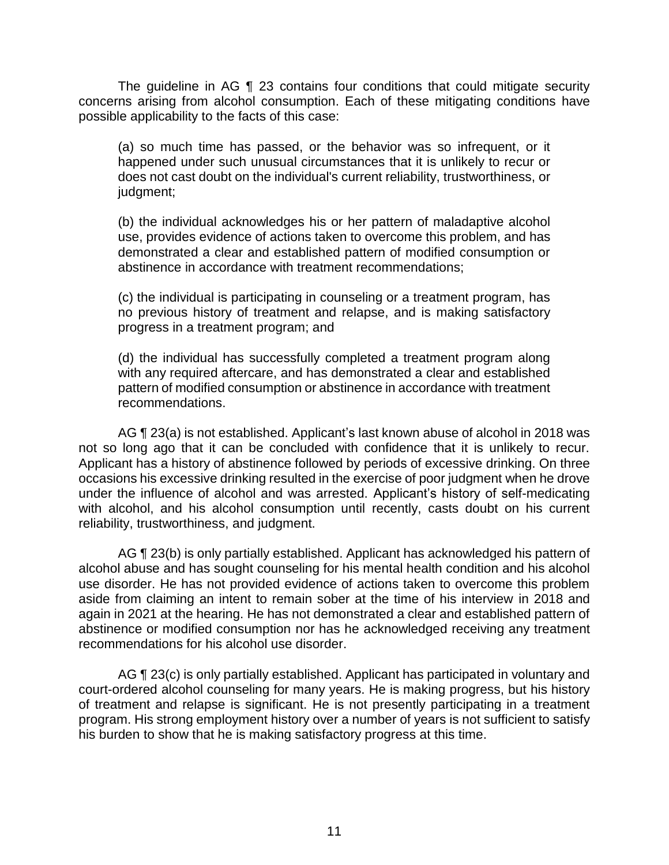The guideline in AG ¶ 23 contains four conditions that could mitigate security concerns arising from alcohol consumption. Each of these mitigating conditions have possible applicability to the facts of this case:

 (a) so much time has passed, or the behavior was so infrequent, or it happened under such unusual circumstances that it is unlikely to recur or does not cast doubt on the individual's current reliability, trustworthiness, or judgment;

 (b) the individual acknowledges his or her pattern of maladaptive alcohol use, provides evidence of actions taken to overcome this problem, and has demonstrated a clear and established pattern of modified consumption or abstinence in accordance with treatment recommendations;

 (c) the individual is participating in counseling or a treatment program, has no previous history of treatment and relapse, and is making satisfactory progress in a treatment program; and

 (d) the individual has successfully completed a treatment program along with any required aftercare, and has demonstrated a clear and established pattern of modified consumption or abstinence in accordance with treatment recommendations.

 AG ¶ 23(a) is not established. Applicant's last known abuse of alcohol in 2018 was not so long ago that it can be concluded with confidence that it is unlikely to recur. Applicant has a history of abstinence followed by periods of excessive drinking. On three occasions his excessive drinking resulted in the exercise of poor judgment when he drove under the influence of alcohol and was arrested. Applicant's history of self-medicating with alcohol, and his alcohol consumption until recently, casts doubt on his current reliability, trustworthiness, and judgment.

AG ¶ 23(b) is only partially established. Applicant has acknowledged his pattern of alcohol abuse and has sought counseling for his mental health condition and his alcohol use disorder. He has not provided evidence of actions taken to overcome this problem aside from claiming an intent to remain sober at the time of his interview in 2018 and again in 2021 at the hearing. He has not demonstrated a clear and established pattern of abstinence or modified consumption nor has he acknowledged receiving any treatment recommendations for his alcohol use disorder.

AG ¶ 23(c) is only partially established. Applicant has participated in voluntary and of treatment and relapse is significant. He is not presently participating in a treatment program. His strong employment history over a number of years is not sufficient to satisfy court-ordered alcohol counseling for many years. He is making progress, but his history his burden to show that he is making satisfactory progress at this time.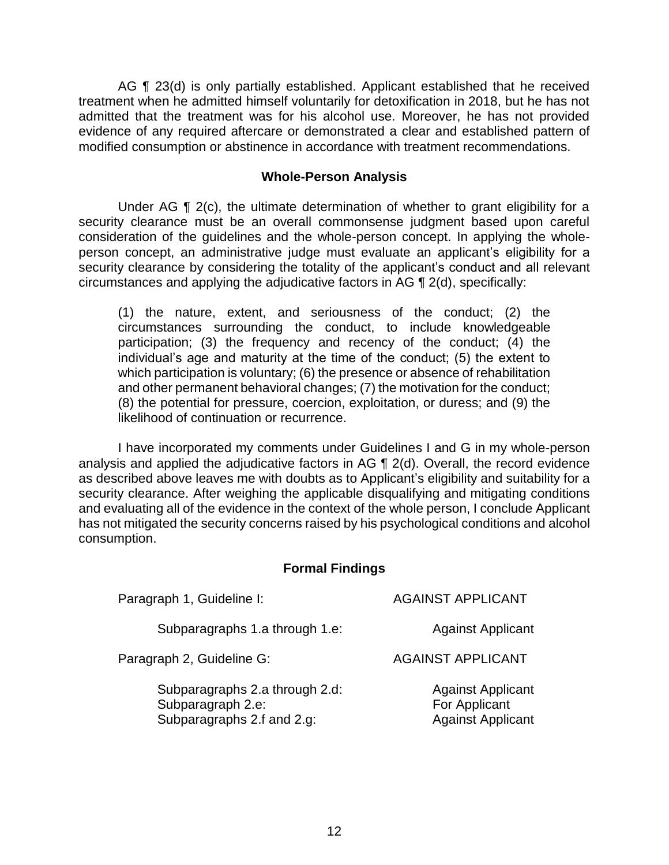AG ¶ 23(d) is only partially established. Applicant established that he received treatment when he admitted himself voluntarily for detoxification in 2018, but he has not admitted that the treatment was for his alcohol use. Moreover, he has not provided evidence of any required aftercare or demonstrated a clear and established pattern of modified consumption or abstinence in accordance with treatment recommendations.

### **Whole-Person Analysis**

Under AG ¶ 2(c), the ultimate determination of whether to grant eligibility for a security clearance must be an overall commonsense judgment based upon careful consideration of the guidelines and the whole-person concept. In applying the whole- person concept, an administrative judge must evaluate an applicant's eligibility for a security clearance by considering the totality of the applicant's conduct and all relevant circumstances and applying the adjudicative factors in AG ¶ 2(d), specifically:

(1) the nature, extent, and seriousness of the conduct; (2) the circumstances surrounding the conduct, to include knowledgeable participation; (3) the frequency and recency of the conduct; (4) the individual's age and maturity at the time of the conduct; (5) the extent to which participation is voluntary; (6) the presence or absence of rehabilitation and other permanent behavioral changes; (7) the motivation for the conduct; (8) the potential for pressure, coercion, exploitation, or duress; and (9) the likelihood of continuation or recurrence.

 I have incorporated my comments under Guidelines I and G in my whole-person analysis and applied the adjudicative factors in AG ¶ 2(d). Overall, the record evidence as described above leaves me with doubts as to Applicant's eligibility and suitability for a security clearance. After weighing the applicable disqualifying and mitigating conditions and evaluating all of the evidence in the context of the whole person, I conclude Applicant has not mitigated the security concerns raised by his psychological conditions and alcohol consumption.

## **Formal Findings**

| Paragraph 1, Guideline I:                                                         | <b>AGAINST APPLICANT</b>                                              |
|-----------------------------------------------------------------------------------|-----------------------------------------------------------------------|
| Subparagraphs 1.a through 1.e:                                                    | <b>Against Applicant</b>                                              |
| Paragraph 2, Guideline G:                                                         | <b>AGAINST APPLICANT</b>                                              |
| Subparagraphs 2.a through 2.d:<br>Subparagraph 2.e:<br>Subparagraphs 2.f and 2.g: | <b>Against Applicant</b><br>For Applicant<br><b>Against Applicant</b> |